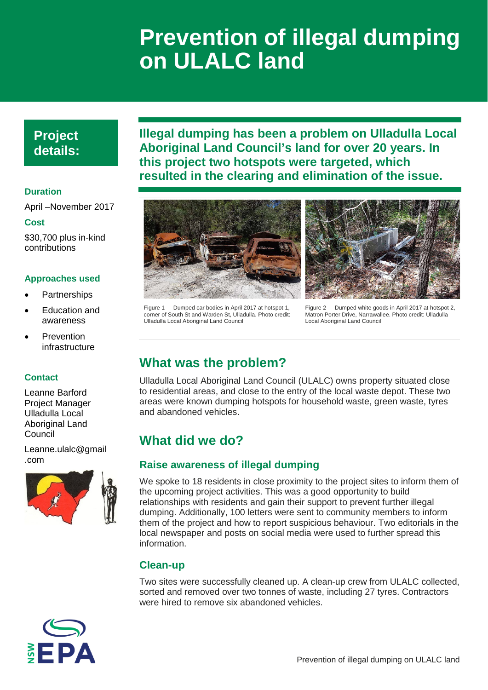# **Prevention of illegal dumping on ULALC land**

## **Project details:**

### **Duration**

April –November 2017

#### **Cost**

\$30,700 plus in-kind contributions

#### **Approaches used**

- **Partnerships**
- **Education and** awareness
- **Prevention** infrastructure

#### **Contact**

Leanne Barford Project Manager Ulladulla Local Aboriginal Land Council

Leanne.ulalc@gmail .com



**Illegal dumping has been a problem on Ulladulla Local Aboriginal Land Council's land for over 20 years. In this project two hotspots were targeted, which resulted in the clearing and elimination of the issue.**







Figure 2 Dumped white goods in April 2017 at hotspot 2 Matron Porter Drive, Narrawallee. Photo credit: Ulladulla Local Aboriginal Land Council

## **What was the problem?**

Ulladulla Local Aboriginal Land Council (ULALC) owns property situated close to residential areas, and close to the entry of the local waste depot. These two areas were known dumping hotspots for household waste, green waste, tyres and abandoned vehicles.

## **What did we do?**

### **Raise awareness of illegal dumping**

We spoke to 18 residents in close proximity to the project sites to inform them of the upcoming project activities. This was a good opportunity to build relationships with residents and gain their support to prevent further illegal dumping. Additionally, 100 letters were sent to community members to inform them of the project and how to report suspicious behaviour. Two editorials in the local newspaper and posts on social media were used to further spread this information.

### **Clean-up**

Two sites were successfully cleaned up. A clean-up crew from ULALC collected, sorted and removed over two tonnes of waste, including 27 tyres. Contractors were hired to remove six abandoned vehicles.